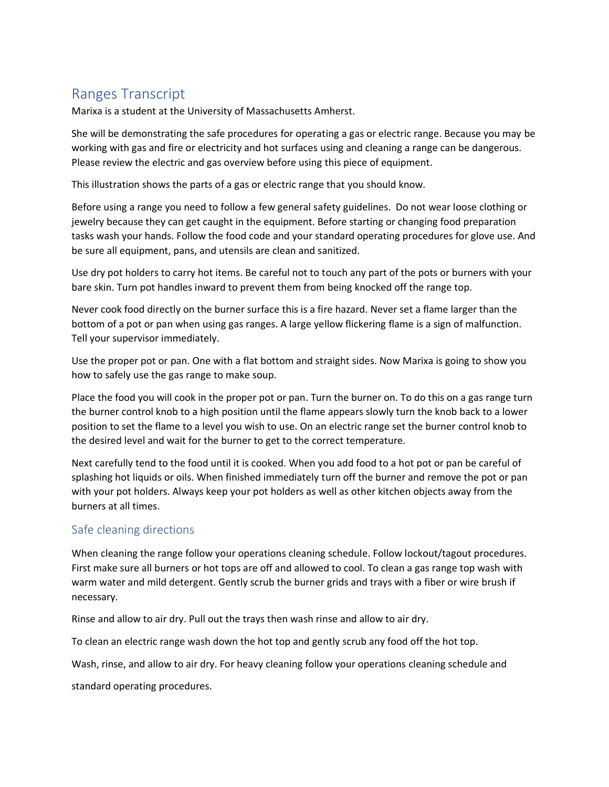## Ranges Transcript

Marixa is a student at the University of Massachusetts Amherst.

She will be demonstrating the safe procedures for operating a gas or electric range. Because you may be working with gas and fire or electricity and hot surfaces using and cleaning a range can be dangerous. Please review the electric and gas overview before using this piece of equipment.

This illustration shows the parts of a gas or electric range that you should know.

Before using a range you need to follow a few general safety guidelines. Do not wear loose clothing or jewelry because they can get caught in the equipment. Before starting or changing food preparation tasks wash your hands. Follow the food code and your standard operating procedures for glove use. And be sure all equipment, pans, and utensils are clean and sanitized.

Use dry pot holders to carry hot items. Be careful not to touch any part of the pots or burners with your bare skin. Turn pot handles inward to prevent them from being knocked off the range top.

Never cook food directly on the burner surface this is a fire hazard. Never set a flame larger than the bottom of a pot or pan when using gas ranges. A large yellow flickering flame is a sign of malfunction. Tell your supervisor immediately.

Use the proper pot or pan. One with a flat bottom and straight sides. Now Marixa is going to show you how to safely use the gas range to make soup.

Place the food you will cook in the proper pot or pan. Turn the burner on. To do this on a gas range turn the burner control knob to a high position until the flame appears slowly turn the knob back to a lower position to set the flame to a level you wish to use. On an electric range set the burner control knob to the desired level and wait for the burner to get to the correct temperature.

Next carefully tend to the food until it is cooked. When you add food to a hot pot or pan be careful of splashing hot liquids or oils. When finished immediately turn off the burner and remove the pot or pan with your pot holders. Always keep your pot holders as well as other kitchen objects away from the burners at all times.

## Safe cleaning directions

When cleaning the range follow your operations cleaning schedule. Follow lockout/tagout procedures. First make sure all burners or hot tops are off and allowed to cool. To clean a gas range top wash with warm water and mild detergent. Gently scrub the burner grids and trays with a fiber or wire brush if necessary.

Rinse and allow to air dry. Pull out the trays then wash rinse and allow to air dry.

To clean an electric range wash down the hot top and gently scrub any food off the hot top.

Wash, rinse, and allow to air dry. For heavy cleaning follow your operations cleaning schedule and

standard operating procedures.